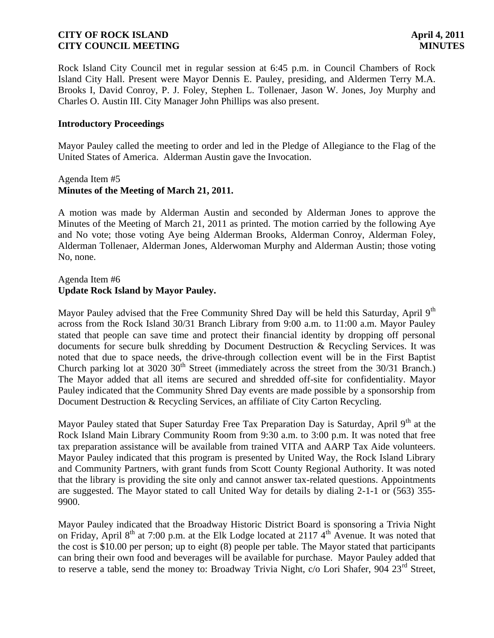Rock Island City Council met in regular session at 6:45 p.m. in Council Chambers of Rock Island City Hall. Present were Mayor Dennis E. Pauley, presiding, and Aldermen Terry M.A. Brooks I, David Conroy, P. J. Foley, Stephen L. Tollenaer, Jason W. Jones, Joy Murphy and Charles O. Austin III. City Manager John Phillips was also present.

### **Introductory Proceedings**

Mayor Pauley called the meeting to order and led in the Pledge of Allegiance to the Flag of the United States of America. Alderman Austin gave the Invocation.

### Agenda Item #5 **Minutes of the Meeting of March 21, 2011.**

A motion was made by Alderman Austin and seconded by Alderman Jones to approve the Minutes of the Meeting of March 21, 2011 as printed. The motion carried by the following Aye and No vote; those voting Aye being Alderman Brooks, Alderman Conroy, Alderman Foley, Alderman Tollenaer, Alderman Jones, Alderwoman Murphy and Alderman Austin; those voting No, none.

### Agenda Item #6 **Update Rock Island by Mayor Pauley.**

Mayor Pauley advised that the Free Community Shred Day will be held this Saturday, April 9<sup>th</sup> across from the Rock Island 30/31 Branch Library from 9:00 a.m. to 11:00 a.m. Mayor Pauley stated that people can save time and protect their financial identity by dropping off personal documents for secure bulk shredding by Document Destruction & Recycling Services. It was noted that due to space needs, the drive-through collection event will be in the First Baptist Church parking lot at  $3020 \cdot 30^{th}$  Street (immediately across the street from the  $30/31$  Branch.) The Mayor added that all items are secured and shredded off-site for confidentiality. Mayor Pauley indicated that the Community Shred Day events are made possible by a sponsorship from Document Destruction & Recycling Services, an affiliate of City Carton Recycling.

Mayor Pauley stated that Super Saturday Free Tax Preparation Day is Saturday, April 9<sup>th</sup> at the Rock Island Main Library Community Room from 9:30 a.m. to 3:00 p.m. It was noted that free tax preparation assistance will be available from trained VITA and AARP Tax Aide volunteers. Mayor Pauley indicated that this program is presented by United Way, the Rock Island Library and Community Partners, with grant funds from Scott County Regional Authority. It was noted that the library is providing the site only and cannot answer tax-related questions. Appointments are suggested. The Mayor stated to call United Way for details by dialing 2-1-1 or (563) 355- 9900.

Mayor Pauley indicated that the Broadway Historic District Board is sponsoring a Trivia Night on Friday, April 8<sup>th</sup> at 7:00 p.m. at the Elk Lodge located at 2117 4<sup>th</sup> Avenue. It was noted that the cost is \$10.00 per person; up to eight (8) people per table. The Mayor stated that participants can bring their own food and beverages will be available for purchase. Mayor Pauley added that to reserve a table, send the money to: Broadway Trivia Night,  $c/\sigma$  Lori Shafer, 904  $23<sup>rd</sup>$  Street,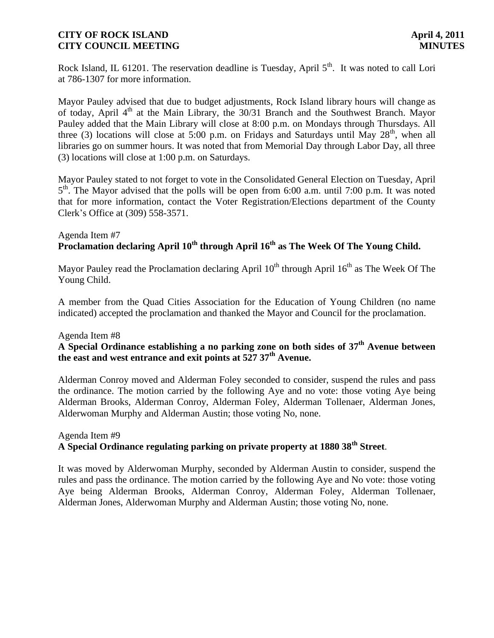Rock Island, IL 61201. The reservation deadline is Tuesday, April 5<sup>th</sup>. It was noted to call Lori at 786-1307 for more information.

Mayor Pauley advised that due to budget adjustments, Rock Island library hours will change as of today, April  $4<sup>th</sup>$  at the Main Library, the 30/31 Branch and the Southwest Branch. Mayor Pauley added that the Main Library will close at 8:00 p.m. on Mondays through Thursdays. All three (3) locations will close at 5:00 p.m. on Fridays and Saturdays until May  $28<sup>th</sup>$ , when all libraries go on summer hours. It was noted that from Memorial Day through Labor Day, all three (3) locations will close at 1:00 p.m. on Saturdays.

Mayor Pauley stated to not forget to vote in the Consolidated General Election on Tuesday, April 5<sup>th</sup>. The Mayor advised that the polls will be open from 6:00 a.m. until 7:00 p.m. It was noted that for more information, contact the Voter Registration/Elections department of the County Clerk's Office at (309) 558-3571.

# Agenda Item #7 **Proclamation declaring April 10th through April 16th as The Week Of The Young Child.**

Mayor Pauley read the Proclamation declaring April  $10^{th}$  through April  $16^{th}$  as The Week Of The Young Child.

A member from the Quad Cities Association for the Education of Young Children (no name indicated) accepted the proclamation and thanked the Mayor and Council for the proclamation.

### Agenda Item #8

# **A Special Ordinance establishing a no parking zone on both sides of 37th Avenue between the east and west entrance and exit points at 527 37th Avenue.**

Alderman Conroy moved and Alderman Foley seconded to consider, suspend the rules and pass the ordinance. The motion carried by the following Aye and no vote: those voting Aye being Alderman Brooks, Alderman Conroy, Alderman Foley, Alderman Tollenaer, Alderman Jones, Alderwoman Murphy and Alderman Austin; those voting No, none.

### Agenda Item #9 **A Special Ordinance regulating parking on private property at 1880 38th Street**.

It was moved by Alderwoman Murphy, seconded by Alderman Austin to consider, suspend the rules and pass the ordinance. The motion carried by the following Aye and No vote: those voting Aye being Alderman Brooks, Alderman Conroy, Alderman Foley, Alderman Tollenaer, Alderman Jones, Alderwoman Murphy and Alderman Austin; those voting No, none.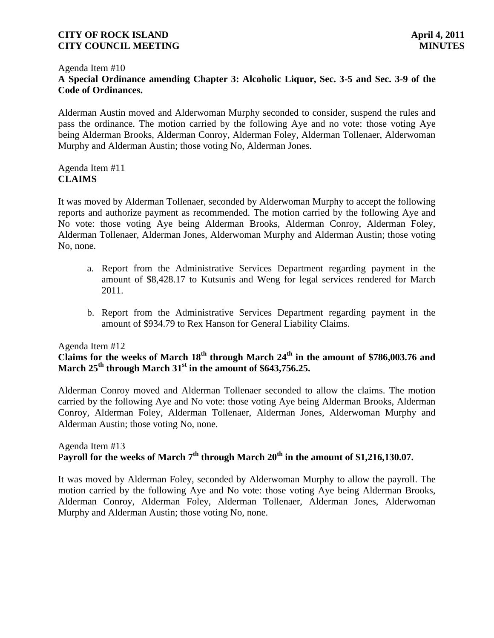#### Agenda Item #10

# **A Special Ordinance amending Chapter 3: Alcoholic Liquor, Sec. 3-5 and Sec. 3-9 of the Code of Ordinances.**

Alderman Austin moved and Alderwoman Murphy seconded to consider, suspend the rules and pass the ordinance. The motion carried by the following Aye and no vote: those voting Aye being Alderman Brooks, Alderman Conroy, Alderman Foley, Alderman Tollenaer, Alderwoman Murphy and Alderman Austin; those voting No, Alderman Jones.

### Agenda Item #11 **CLAIMS**

It was moved by Alderman Tollenaer, seconded by Alderwoman Murphy to accept the following reports and authorize payment as recommended. The motion carried by the following Aye and No vote: those voting Aye being Alderman Brooks, Alderman Conroy, Alderman Foley, Alderman Tollenaer, Alderman Jones, Alderwoman Murphy and Alderman Austin; those voting No, none.

- a. Report from the Administrative Services Department regarding payment in the amount of \$8,428.17 to Kutsunis and Weng for legal services rendered for March 2011.
- b. Report from the Administrative Services Department regarding payment in the amount of \$934.79 to Rex Hanson for General Liability Claims.

#### Agenda Item #12

# **Claims for the weeks of March 18th through March 24th in the amount of \$786,003.76 and March 25th through March 31st in the amount of \$643,756.25.**

Alderman Conroy moved and Alderman Tollenaer seconded to allow the claims. The motion carried by the following Aye and No vote: those voting Aye being Alderman Brooks, Alderman Conroy, Alderman Foley, Alderman Tollenaer, Alderman Jones, Alderwoman Murphy and Alderman Austin; those voting No, none.

#### Agenda Item #13 P**ayroll for the weeks of March 7th through March 20th in the amount of \$1,216,130.07.**

It was moved by Alderman Foley, seconded by Alderwoman Murphy to allow the payroll. The motion carried by the following Aye and No vote: those voting Aye being Alderman Brooks, Alderman Conroy, Alderman Foley, Alderman Tollenaer, Alderman Jones, Alderwoman Murphy and Alderman Austin; those voting No, none.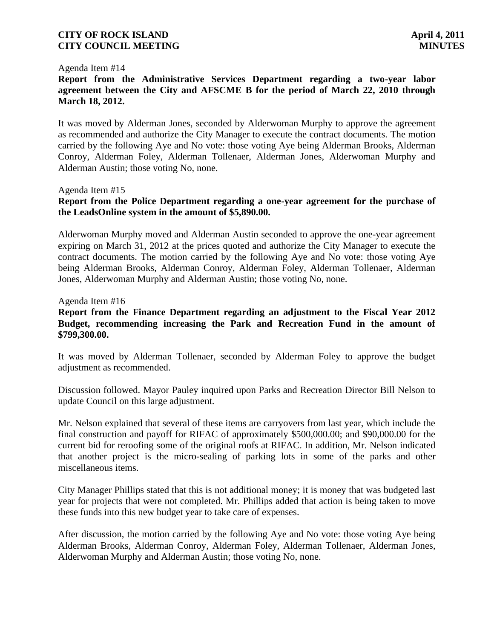#### Agenda Item #14

# **Report from the Administrative Services Department regarding a two-year labor agreement between the City and AFSCME B for the period of March 22, 2010 through March 18, 2012.**

It was moved by Alderman Jones, seconded by Alderwoman Murphy to approve the agreement as recommended and authorize the City Manager to execute the contract documents. The motion carried by the following Aye and No vote: those voting Aye being Alderman Brooks, Alderman Conroy, Alderman Foley, Alderman Tollenaer, Alderman Jones, Alderwoman Murphy and Alderman Austin; those voting No, none.

#### Agenda Item #15

## **Report from the Police Department regarding a one-year agreement for the purchase of the LeadsOnline system in the amount of \$5,890.00.**

Alderwoman Murphy moved and Alderman Austin seconded to approve the one-year agreement expiring on March 31, 2012 at the prices quoted and authorize the City Manager to execute the contract documents. The motion carried by the following Aye and No vote: those voting Aye being Alderman Brooks, Alderman Conroy, Alderman Foley, Alderman Tollenaer, Alderman Jones, Alderwoman Murphy and Alderman Austin; those voting No, none.

#### Agenda Item #16

### **Report from the Finance Department regarding an adjustment to the Fiscal Year 2012 Budget, recommending increasing the Park and Recreation Fund in the amount of \$799,300.00.**

It was moved by Alderman Tollenaer, seconded by Alderman Foley to approve the budget adjustment as recommended.

Discussion followed. Mayor Pauley inquired upon Parks and Recreation Director Bill Nelson to update Council on this large adjustment.

Mr. Nelson explained that several of these items are carryovers from last year, which include the final construction and payoff for RIFAC of approximately \$500,000.00; and \$90,000.00 for the current bid for reroofing some of the original roofs at RIFAC. In addition, Mr. Nelson indicated that another project is the micro-sealing of parking lots in some of the parks and other miscellaneous items.

City Manager Phillips stated that this is not additional money; it is money that was budgeted last year for projects that were not completed. Mr. Phillips added that action is being taken to move these funds into this new budget year to take care of expenses.

After discussion, the motion carried by the following Aye and No vote: those voting Aye being Alderman Brooks, Alderman Conroy, Alderman Foley, Alderman Tollenaer, Alderman Jones, Alderwoman Murphy and Alderman Austin; those voting No, none.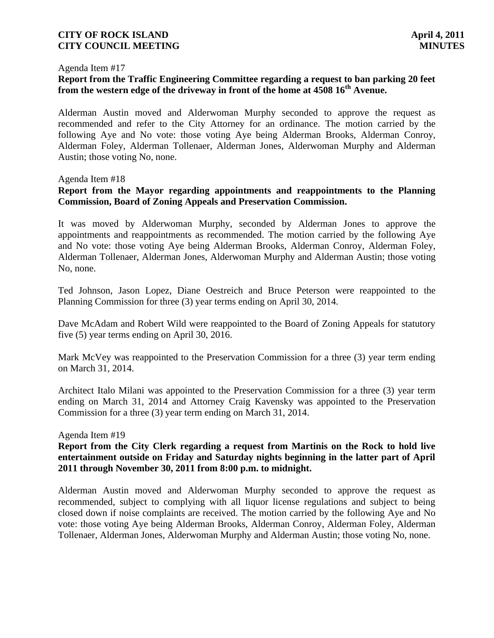#### Agenda Item #17

# **Report from the Traffic Engineering Committee regarding a request to ban parking 20 feet from the western edge of the driveway in front of the home at 4508 16th Avenue.**

Alderman Austin moved and Alderwoman Murphy seconded to approve the request as recommended and refer to the City Attorney for an ordinance. The motion carried by the following Aye and No vote: those voting Aye being Alderman Brooks, Alderman Conroy, Alderman Foley, Alderman Tollenaer, Alderman Jones, Alderwoman Murphy and Alderman Austin; those voting No, none.

#### Agenda Item #18

# **Report from the Mayor regarding appointments and reappointments to the Planning Commission, Board of Zoning Appeals and Preservation Commission.**

It was moved by Alderwoman Murphy, seconded by Alderman Jones to approve the appointments and reappointments as recommended. The motion carried by the following Aye and No vote: those voting Aye being Alderman Brooks, Alderman Conroy, Alderman Foley, Alderman Tollenaer, Alderman Jones, Alderwoman Murphy and Alderman Austin; those voting No, none.

 Ted Johnson, Jason Lopez, Diane Oestreich and Bruce Peterson were reappointed to the Planning Commission for three (3) year terms ending on April 30, 2014.

Dave McAdam and Robert Wild were reappointed to the Board of Zoning Appeals for statutory five (5) year terms ending on April 30, 2016.

 Mark McVey was reappointed to the Preservation Commission for a three (3) year term ending on March 31, 2014.

 Architect Italo Milani was appointed to the Preservation Commission for a three (3) year term ending on March 31, 2014 and Attorney Craig Kavensky was appointed to the Preservation Commission for a three (3) year term ending on March 31, 2014.

#### Agenda Item #19

### **Report from the City Clerk regarding a request from Martinis on the Rock to hold live entertainment outside on Friday and Saturday nights beginning in the latter part of April 2011 through November 30, 2011 from 8:00 p.m. to midnight.**

Alderman Austin moved and Alderwoman Murphy seconded to approve the request as recommended, subject to complying with all liquor license regulations and subject to being closed down if noise complaints are received. The motion carried by the following Aye and No vote: those voting Aye being Alderman Brooks, Alderman Conroy, Alderman Foley, Alderman Tollenaer, Alderman Jones, Alderwoman Murphy and Alderman Austin; those voting No, none.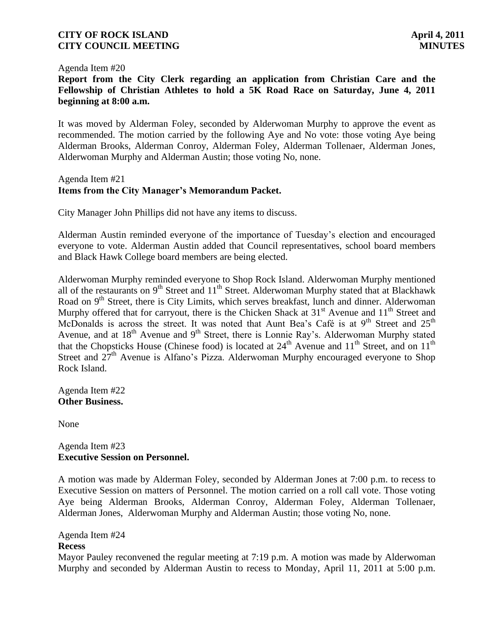#### Agenda Item #20

**Report from the City Clerk regarding an application from Christian Care and the Fellowship of Christian Athletes to hold a 5K Road Race on Saturday, June 4, 2011 beginning at 8:00 a.m.**

It was moved by Alderman Foley, seconded by Alderwoman Murphy to approve the event as recommended. The motion carried by the following Aye and No vote: those voting Aye being Alderman Brooks, Alderman Conroy, Alderman Foley, Alderman Tollenaer, Alderman Jones, Alderwoman Murphy and Alderman Austin; those voting No, none.

### Agenda Item #21 **Items from the City Manager's Memorandum Packet.**

City Manager John Phillips did not have any items to discuss.

Alderman Austin reminded everyone of the importance of Tuesday's election and encouraged everyone to vote. Alderman Austin added that Council representatives, school board members and Black Hawk College board members are being elected.

Alderwoman Murphy reminded everyone to Shop Rock Island. Alderwoman Murphy mentioned all of the restaurants on  $9<sup>th</sup>$  Street and  $11<sup>th</sup>$  Street. Alderwoman Murphy stated that at Blackhawk Road on 9<sup>th</sup> Street, there is City Limits, which serves breakfast, lunch and dinner. Alderwoman Murphy offered that for carryout, there is the Chicken Shack at  $31<sup>st</sup>$  Avenue and  $11<sup>th</sup>$  Street and McDonalds is across the street. It was noted that Aunt Bea's Café is at  $9<sup>th</sup>$  Street and  $25<sup>th</sup>$ Avenue, and at 18<sup>th</sup> Avenue and 9<sup>th</sup> Street, there is Lonnie Ray's. Alderwoman Murphy stated that the Chopsticks House (Chinese food) is located at  $24<sup>th</sup>$  Avenue and  $11<sup>th</sup>$  Street, and on  $11<sup>th</sup>$ Street and  $27<sup>th</sup>$  Avenue is Alfano's Pizza. Alderwoman Murphy encouraged everyone to Shop Rock Island.

Agenda Item #22 **Other Business.**

None

#### Agenda Item #23 **Executive Session on Personnel.**

A motion was made by Alderman Foley, seconded by Alderman Jones at 7:00 p.m. to recess to Executive Session on matters of Personnel. The motion carried on a roll call vote. Those voting Aye being Alderman Brooks, Alderman Conroy, Alderman Foley, Alderman Tollenaer, Alderman Jones, Alderwoman Murphy and Alderman Austin; those voting No, none.

Agenda Item #24 **Recess**

Mayor Pauley reconvened the regular meeting at 7:19 p.m. A motion was made by Alderwoman Murphy and seconded by Alderman Austin to recess to Monday, April 11, 2011 at 5:00 p.m.